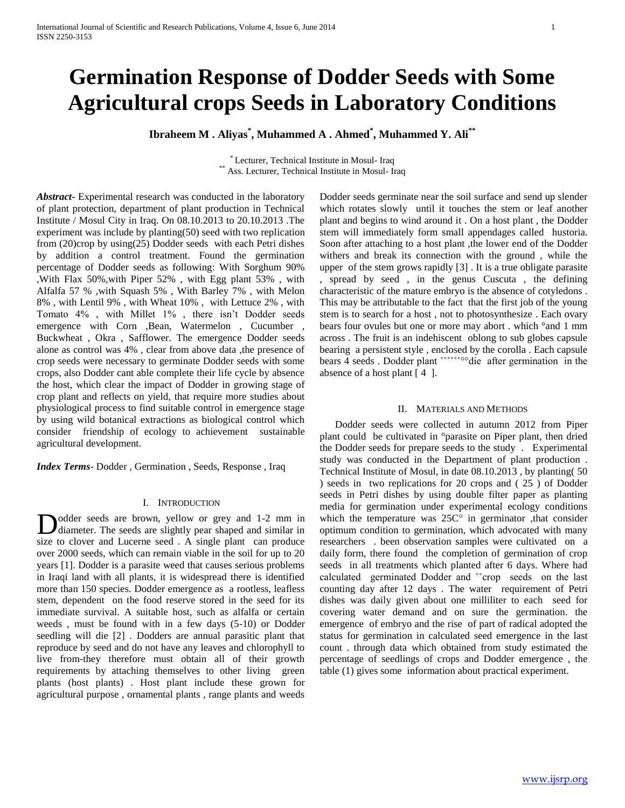# **Germination Response of Dodder Seeds with Some Agricultural crops Seeds in Laboratory Conditions**

**Ibraheem M . Aliyas\* , Muhammed A . Ahmed\* , Muhammed Y. Ali\*\***

\* Lecturer, Technical Institute in Mosul- Iraq \*\* Ass. Lecturer, Technical Institute in Mosul- Iraq

*Abstract***-** Experimental research was conducted in the laboratory of plant protection, department of plant production in Technical Institute / Mosul City in Iraq. On 08.10.2013 to 20.10.2013 .The experiment was include by planting(50) seed with two replication from (20)crop by using(25) Dodder seeds with each Petri dishes by addition a control treatment. Found the germination percentage of Dodder seeds as following: With Sorghum 90% ,With Flax 50%,with Piper 52% , with Egg plant 53% , with Alfalfa 57 % ,with Squash 5% , With Barley 7% , with Melon 8% , with Lentil 9% , with Wheat 10% , with Lettuce 2% , with Tomato 4% , with Millet 1% , there isn't Dodder seeds emergence with Corn ,Bean, Watermelon , Cucumber , Buckwheat , Okra , Safflower. The emergence Dodder seeds alone as control was 4% , clear from above data ,the presence of crop seeds were necessary to germinate Dodder seeds with some crops, also Dodder cant able complete their life cycle by absence the host, which clear the impact of Dodder in growing stage of crop plant and reflects on yield, that require more studies about physiological process to find suitable control in emergence stage by using wild botanical extractions as biological control which consider friendship of ecology to achievement sustainable agricultural development.

*Index Terms*- Dodder , Germination , Seeds, Response , Iraq

### I. INTRODUCTION

odder seeds are brown, yellow or grey and 1-2 mm in Dodder seeds are brown, yellow or grey and 1-2 mm in diameter. The seeds are slightly pear shaped and similar in size to clover and Lucerne seed . A single plant can produce over 2000 seeds, which can remain viable in the soil for up to 20 years [1]. Dodder is a parasite weed that causes serious problems in Iraqi land with all plants, it is widespread there is identified more than 150 species. Dodder emergence as a rootless, leafless stem, dependent on the food reserve stored in the seed for its immediate survival. A suitable host, such as alfalfa or certain weeds , must be found with in a few days (5-10) or Dodder seedling will die [2] . Dodders are annual parasitic plant that reproduce by seed and do not have any leaves and chlorophyll to live from-they therefore must obtain all of their growth requirements by attaching themselves to other living green plants (host plants) . Host plant include these grown for agricultural purpose , ornamental plants , range plants and weeds

Dodder seeds germinate near the soil surface and send up slender which rotates slowly until it touches the stem or leaf another plant and begins to wind around it . On a host plant , the Dodder stem will immediately form small appendages called hustoria. Soon after attaching to a host plant ,the lower end of the Dodder withers and break its connection with the ground , while the upper of the stem grows rapidly [3] . It is a true obligate parasite , spread by seed , in the genus Cuscuta , the defining characteristic of the mature embryo is the absence of cotyledons . This may be attributable to the fact that the first job of the young stem is to search for a host , not to photosynthesize . Each ovary bears four ovules but one or more may abort . which °and 1 mm across . The fruit is an indehiscent oblong to sub globes capsule bearing a persistent style , enclosed by the corolla . Each capsule bears 4 seeds . Dodder plant ˚˚˚˚˚˚°°die after germination in the absence of a host plant  $[4]$ .

### II. MATERIALS AND METHODS

 Dodder seeds were collected in autumn 2012 from Piper plant could be cultivated in °parasite on Piper plant, then dried the Dodder seeds for prepare seeds to the study . Experimental study was conducted in the Department of plant production . Technical Institute of Mosul, in date 08.10.2013 , by planting( 50 ) seeds in two replications for 20 crops and ( 25 ) of Dodder seeds in Petri dishes by using double filter paper as planting media for germination under experimental ecology conditions which the temperature was  $25C^{\circ}$  in germinator , that consider optimum condition to germination, which advocated with many researchers . been observation samples were cultivated on a daily form, there found the completion of germination of crop seeds in all treatments which planted after 6 days. Where had calculated germinated Dodder and "crop seeds on the last counting day after 12 days . The water requirement of Petri dishes was daily given about one milliliter to each seed for covering water demand and on sure the germination. the emergence of embryo and the rise of part of radical adopted the status for germination in calculated seed emergence in the last count . through data which obtained from study estimated the percentage of seedlings of crops and Dodder emergence , the table (1) gives some information about practical experiment.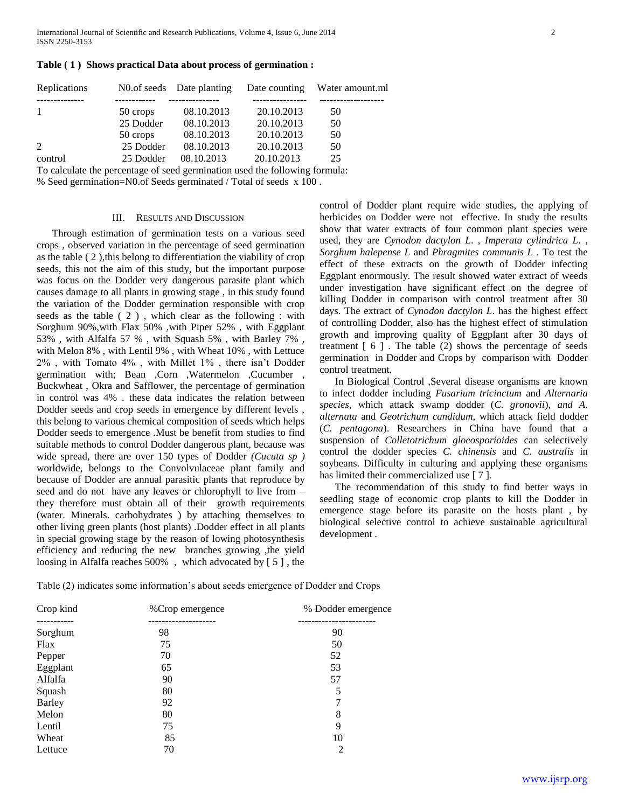**Table ( 1 ) Shows practical Data about process of germination :**

| Replications   |           | No. of seeds Date planting |                                                                                                                                                                                                                                                                                                                        | Date counting Water amount.ml |
|----------------|-----------|----------------------------|------------------------------------------------------------------------------------------------------------------------------------------------------------------------------------------------------------------------------------------------------------------------------------------------------------------------|-------------------------------|
|                |           |                            |                                                                                                                                                                                                                                                                                                                        |                               |
| 1              | 50 crops  | 08.10.2013                 | 20.10.2013                                                                                                                                                                                                                                                                                                             | 50                            |
|                | 25 Dodder | 08.10.2013                 | 20.10.2013                                                                                                                                                                                                                                                                                                             | 50                            |
|                | 50 crops  | 08.10.2013                 | 20.10.2013                                                                                                                                                                                                                                                                                                             | 50                            |
| $\overline{2}$ | 25 Dodder | 08.10.2013                 | 20.10.2013                                                                                                                                                                                                                                                                                                             | 50                            |
| control        | 25 Dodder | 08.10.2013                 | 20.10.2013                                                                                                                                                                                                                                                                                                             | 25                            |
|                |           |                            | $\overline{r}$ . In the set of the second second contracts of the set of $\overline{r}$ , $\overline{r}$ , $\overline{r}$ , $\overline{r}$ , $\overline{r}$ , $\overline{r}$ , $\overline{r}$ , $\overline{r}$ , $\overline{r}$ , $\overline{r}$ , $\overline{r}$ , $\overline{r}$ , $\overline{r}$ , $\overline{r}$ , |                               |

To calculate the percentage of seed germination used the following formula:

% Seed germination=N0.of Seeds germinated / Total of seeds x 100 .

### III. RESULTS AND DISCUSSION

 Through estimation of germination tests on a various seed crops , observed variation in the percentage of seed germination as the table ( 2 ),this belong to differentiation the viability of crop seeds, this not the aim of this study, but the important purpose was focus on the Dodder very dangerous parasite plant which causes damage to all plants in growing stage , in this study found the variation of the Dodder germination responsible with crop seeds as the table ( 2 ) , which clear as the following : with Sorghum 90%,with Flax 50% ,with Piper 52% , with Eggplant 53% , with Alfalfa 57 % , with Squash 5% , with Barley 7% , with Melon 8% , with Lentil 9% , with Wheat 10% , with Lettuce 2% , with Tomato 4% , with Millet 1% , there isn't Dodder germination with; Bean ,Corn ,Watermelon ,Cucumber , Buckwheat , Okra and Safflower, the percentage of germination in control was 4% . these data indicates the relation between Dodder seeds and crop seeds in emergence by different levels , this belong to various chemical composition of seeds which helps Dodder seeds to emergence .Must be benefit from studies to find suitable methods to control Dodder dangerous plant, because was wide spread, there are over 150 types of Dodder *(Cucuta sp )* worldwide, belongs to the Convolvulaceae plant family and because of Dodder are annual parasitic plants that reproduce by seed and do not have any leaves or chlorophyll to live from – they therefore must obtain all of their growth requirements (water. Minerals. carbohydrates ) by attaching themselves to other living green plants (host plants) .Dodder effect in all plants in special growing stage by the reason of lowing photosynthesis efficiency and reducing the new branches growing ,the yield loosing in Alfalfa reaches 500% , which advocated by [ 5 ] , the

control of Dodder plant require wide studies, the applying of herbicides on Dodder were not effective. In study the results show that water extracts of four common plant species were used, they are *Cynodon dactylon L*. , *Imperata cylindrica L*. , *Sorghum halepense L* and *Phragmites communis L* . To test the effect of these extracts on the growth of Dodder infecting Eggplant enormously. The result showed water extract of weeds under investigation have significant effect on the degree of killing Dodder in comparison with control treatment after 30 days. The extract of *Cynodon dactylon L*. has the highest effect of controlling Dodder, also has the highest effect of stimulation growth and improving quality of Eggplant after 30 days of treatment [ 6 ] . The table (2) shows the percentage of seeds germination in Dodder and Crops by comparison with Dodder control treatment.

 In Biological Control ,Several disease organisms are known to infect dodder including *Fusarium tricinctum* and *Alternaria species*, which attack swamp dodder (*C. gronovii*), *and A. alternata* and *Geotrichum candidum,* which attack field dodder (*C. pentagona*). Researchers in China have found that a suspension of *Colletotrichum gloeosporioides* can selectively control the dodder species *C. chinensis* and *C. australis* in soybeans. Difficulty in culturing and applying these organisms has limited their commercialized use [7].

 The recommendation of this study to find better ways in seedling stage of economic crop plants to kill the Dodder in emergence stage before its parasite on the hosts plant , by biological selective control to achieve sustainable agricultural development .

| Crop kind     | %Crop emergence | % Dodder emergence |
|---------------|-----------------|--------------------|
|               |                 |                    |
| Sorghum       | 98              | 90                 |
| Flax          | 75              | 50                 |
| Pepper        | 70              | 52                 |
| Eggplant      | 65              | 53                 |
| Alfalfa       | 90              | 57                 |
| Squash        | 80              | 5                  |
| <b>Barley</b> | 92              | 7                  |
| Melon         | 80              | 8                  |
| Lentil        | 75              | 9                  |
| Wheat         | 85              | 10                 |
| Lettuce       | 70              | 2                  |

Table (2) indicates some information's about seeds emergence of Dodder and Crops